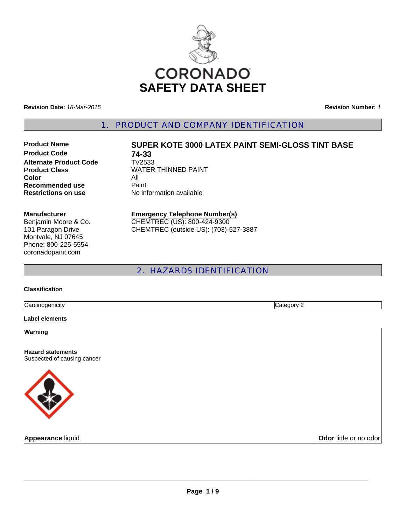

**Revision Date:** *18-Mar-2015*

**Revision Number:** *1*

1. PRODUCT AND COMPANY IDENTIFICATION

**Product Code 74-33**<br>Alternate Product Code TV2533 **Alternate Product Code Color** All **Recommended use Paint Restrictions on use** No information available

# **Product Name SUPER KOTE 3000 LATEX PAINT SEMI-GLOSS TINT BASE**

**Product Class WATER THINNED PAINT** 

#### **Manufacturer**

Benjamin Moore & Co. 101 Paragon Drive Montvale, NJ 07645 Phone: 800-225-5554 coronadopaint.com

#### **Emergency Telephone Number(s)** CHEMTREC (US): 800-424-9300 CHEMTREC (outside US): (703)-527-3887

# 2. HAZARDS IDENTIFICATION

#### **Classification**

**Carcinogenicity** Category 2

#### **Label elements**

**Warning**

**Hazard statements** Suspected of causing cancer



**Appearance liquid Odor little or no odor**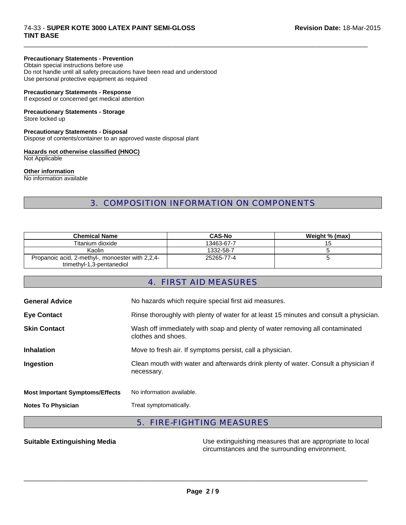#### 74-33 - **SUPER KOTE 3000 LATEX PAINT SEMI-GLOSS TINT BASE**

#### **Precautionary Statements - Prevention**

Obtain special instructions before use Do not handle until all safety precautions have been read and understood Use personal protective equipment as required

#### **Precautionary Statements - Response**

If exposed or concerned get medical attention

# **Precautionary Statements - Storage**

Store locked up

## **Precautionary Statements - Disposal**

Dispose of contents/container to an approved waste disposal plant

### **Hazards not otherwise classified (HNOC)**

Not Applicable

#### **Other information**

No information available

# 3. COMPOSITION INFORMATION ON COMPONENTS

 $\Box$ 

| <b>Chemical Name</b>                                                          | <b>CAS-No</b> | Weight % (max) |
|-------------------------------------------------------------------------------|---------------|----------------|
| Titanium dioxide                                                              | 13463-67-7    |                |
| Kaolin                                                                        | 1332-58-7     |                |
| Propanoic acid, 2-methyl-, monoester with 2,2,4-<br>trimethyl-1,3-pentanediol | 25265-77-4    |                |

# 4. FIRST AID MEASURES

| <b>General Advice</b>                  | No hazards which require special first aid measures.                                               |  |  |
|----------------------------------------|----------------------------------------------------------------------------------------------------|--|--|
| <b>Eye Contact</b>                     | Rinse thoroughly with plenty of water for at least 15 minutes and consult a physician.             |  |  |
| <b>Skin Contact</b>                    | Wash off immediately with soap and plenty of water removing all contaminated<br>clothes and shoes. |  |  |
| <b>Inhalation</b>                      | Move to fresh air. If symptoms persist, call a physician.                                          |  |  |
| Ingestion                              | Clean mouth with water and afterwards drink plenty of water. Consult a physician if<br>necessary.  |  |  |
| <b>Most Important Symptoms/Effects</b> | No information available.                                                                          |  |  |
| <b>Notes To Physician</b>              | Treat symptomatically.                                                                             |  |  |

# 5. FIRE-FIGHTING MEASURES

**Suitable Extinguishing Media** Media Use extinguishing measures that are appropriate to local circumstances and the surrounding environment.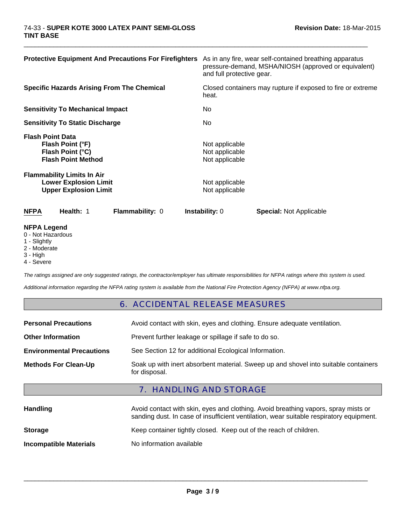| <b>Protective Equipment And Precautions For Firefighters</b>                                      | As in any fire, wear self-contained breathing apparatus<br>pressure-demand, MSHA/NIOSH (approved or equivalent)<br>and full protective gear. |  |
|---------------------------------------------------------------------------------------------------|----------------------------------------------------------------------------------------------------------------------------------------------|--|
| <b>Specific Hazards Arising From The Chemical</b>                                                 | Closed containers may rupture if exposed to fire or extreme<br>heat.                                                                         |  |
| <b>Sensitivity To Mechanical Impact</b>                                                           | No.                                                                                                                                          |  |
| <b>Sensitivity To Static Discharge</b>                                                            | No.                                                                                                                                          |  |
| <b>Flash Point Data</b><br>Flash Point (°F)<br>Flash Point (°C)<br><b>Flash Point Method</b>      | Not applicable<br>Not applicable<br>Not applicable                                                                                           |  |
| <b>Flammability Limits In Air</b><br><b>Lower Explosion Limit</b><br><b>Upper Explosion Limit</b> | Not applicable<br>Not applicable                                                                                                             |  |
| <b>NFPA</b><br>Health: 1<br><b>Flammability: 0</b>                                                | <b>Instability: 0</b><br><b>Special: Not Applicable</b>                                                                                      |  |
| <b>NFPA Legend</b><br>$\bigcap$ Niat ila a a adacca                                               |                                                                                                                                              |  |

 $\Box$ 

- 0 Not Hazardous
- 1 Slightly
- 2 Moderate
- 3 High
- 4 Severe

*The ratings assigned are only suggested ratings, the contractor/employer has ultimate responsibilities for NFPA ratings where this system is used.*

*Additional information regarding the NFPA rating system is available from the National Fire Protection Agency (NFPA) at www.nfpa.org.*

### 6. ACCIDENTAL RELEASE MEASURES

| <b>Personal Precautions</b>      | Avoid contact with skin, eyes and clothing. Ensure adequate ventilation.                             |
|----------------------------------|------------------------------------------------------------------------------------------------------|
| <b>Other Information</b>         | Prevent further leakage or spillage if safe to do so.                                                |
| <b>Environmental Precautions</b> | See Section 12 for additional Ecological Information.                                                |
| <b>Methods For Clean-Up</b>      | Soak up with inert absorbent material. Sweep up and shovel into suitable containers<br>for disposal. |

# 7. HANDLING AND STORAGE

| <b>Handling</b>               | Avoid contact with skin, eyes and clothing. Avoid breathing vapors, spray mists or<br>sanding dust. In case of insufficient ventilation, wear suitable respiratory equipment. |  |  |
|-------------------------------|-------------------------------------------------------------------------------------------------------------------------------------------------------------------------------|--|--|
| <b>Storage</b>                | Keep container tightly closed. Keep out of the reach of children.                                                                                                             |  |  |
| <b>Incompatible Materials</b> | No information available                                                                                                                                                      |  |  |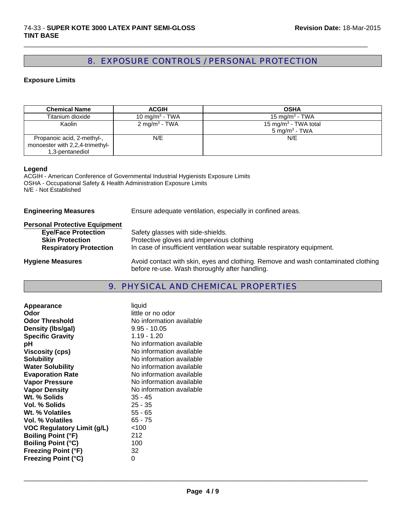# 8. EXPOSURE CONTROLS / PERSONAL PROTECTION

 $\Box$ 

### **Exposure Limits**

| <b>Chemical Name</b>                                                             | <b>ACGIH</b>               | <b>OSHA</b>                                                  |
|----------------------------------------------------------------------------------|----------------------------|--------------------------------------------------------------|
| Titanium dioxide                                                                 | 10 mg/m <sup>3</sup> - TWA | 15 mg/m <sup>3</sup> - TWA                                   |
| Kaolin                                                                           | 2 mg/m <sup>3</sup> - TWA  | 15 mg/m <sup>3</sup> - TWA total<br>$5 \text{ mg/m}^3$ - TWA |
| Propanoic acid, 2-methyl-,<br>monoester with 2,2,4-trimethyl-<br>1,3-pentanediol | N/E                        | N/E                                                          |

#### **Legend**

ACGIH - American Conference of Governmental Industrial Hygienists Exposure Limits OSHA - Occupational Safety & Health Administration Exposure Limits N/E - Not Established

| <b>Engineering Measures</b>                                                                                                   | Ensure adequate ventilation, especially in confined areas.                                                                                                 |  |
|-------------------------------------------------------------------------------------------------------------------------------|------------------------------------------------------------------------------------------------------------------------------------------------------------|--|
| <b>Personal Protective Equipment</b><br><b>Eye/Face Protection</b><br><b>Skin Protection</b><br><b>Respiratory Protection</b> | Safety glasses with side-shields.<br>Protective gloves and impervious clothing<br>In case of insufficient ventilation wear suitable respiratory equipment. |  |
| <b>Hygiene Measures</b>                                                                                                       | Avoid contact with skin, eyes and clothing. Remove and wash contaminated clothing<br>before re-use. Wash thoroughly after handling.                        |  |

# 9. PHYSICAL AND CHEMICAL PROPERTIES

| Appearance                        | liquid                   |
|-----------------------------------|--------------------------|
| Odor                              | little or no odor        |
| <b>Odor Threshold</b>             | No information available |
| Density (Ibs/gal)                 | $9.95 - 10.05$           |
| <b>Specific Gravity</b>           | 1.19 - 1.20              |
| рH                                | No information available |
| <b>Viscosity (cps)</b>            | No information available |
| <b>Solubility</b>                 | No information available |
| <b>Water Solubility</b>           | No information available |
| <b>Evaporation Rate</b>           | No information available |
| <b>Vapor Pressure</b>             | No information available |
| <b>Vapor Density</b>              | No information available |
| Wt. % Solids                      | 35 - 45                  |
| Vol. % Solids                     | $25 - 35$                |
| Wt. % Volatiles                   | $55 - 65$                |
| <b>Vol. % Volatiles</b>           | $65 - 75$                |
| <b>VOC Regulatory Limit (g/L)</b> | < 100                    |
| <b>Boiling Point (°F)</b>         | 212                      |
| <b>Boiling Point (°C)</b>         | 100                      |
| <b>Freezing Point (°F)</b>        | 32                       |
| <b>Freezing Point (°C)</b>        | 0                        |
|                                   |                          |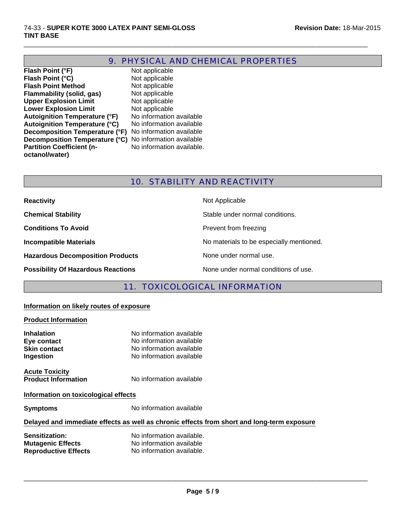# 9. PHYSICAL AND CHEMICAL PROPERTIES

 $\Box$ 

**Flash Point (°F)** Not applicable<br> **Flash Point (°C)** Not applicable **Flash Point (°C) Flash Point Method** Not applicable<br> **Flammability (solid, gas)** Not applicable **Flammability (solid, gas)** Not applicable<br> **Upper Explosion Limit** Not applicable **Upper Explosion Limit Lower Explosion Limit** Not applicable<br> **Autoignition Temperature (°F)** No information available **Autoignition Temperature (°F)** No information available<br>**Autoignition Temperature (°C)** No information available Autoignition Temperature (°C) **Decomposition Temperature (°F)** No information available **Decomposition Temperature (°C)** No information available **Partition Coefficient (noctanol/water)**

No information available.

# 10. STABILITY AND REACTIVITY

| <b>Reactivity</b>                         | Not Applicable                           |
|-------------------------------------------|------------------------------------------|
| <b>Chemical Stability</b>                 | Stable under normal conditions.          |
| <b>Conditions To Avoid</b>                | Prevent from freezing                    |
| <b>Incompatible Materials</b>             | No materials to be especially mentioned. |
| <b>Hazardous Decomposition Products</b>   | None under normal use.                   |
| <b>Possibility Of Hazardous Reactions</b> | None under normal conditions of use.     |

# 11. TOXICOLOGICAL INFORMATION

#### **Information on likely routes of exposure**

#### **Product Information**

| <b>Inhalation</b><br>Eye contact<br><b>Skin contact</b><br>Ingestion | No information available<br>No information available<br>No information available<br>No information available |
|----------------------------------------------------------------------|--------------------------------------------------------------------------------------------------------------|
| <b>Acute Toxicity</b><br><b>Product Information</b>                  | No information available                                                                                     |
| Information on toxicological effects                                 |                                                                                                              |
| <b>Symptoms</b>                                                      | No information available                                                                                     |

#### **Delayed and immediate effects as well as chronic effects from short and long-term exposure**

| <b>Sensitization:</b>       | No information available. |
|-----------------------------|---------------------------|
| <b>Mutagenic Effects</b>    | No information available  |
| <b>Reproductive Effects</b> | No information available. |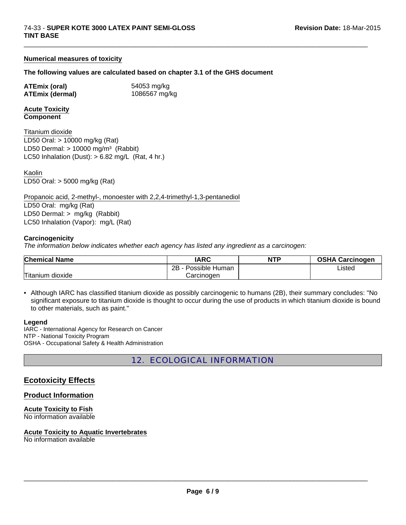#### **Numerical measures of toxicity**

#### **The following values are calculated based on chapter 3.1 of the GHS document**

**ATEmix (oral)** 54053 mg/kg **ATEmix (dermal)** 1086567 mg/kg

 $\Box$ 

#### **Acute Toxicity Component**

LD50 Oral: > 10000 mg/kg (Rat) LD50 Dermal:  $> 10000$  mg/m<sup>3</sup> (Rabbit) Titanium dioxide LC50 Inhalation (Dust):  $> 6.82$  mg/L (Rat, 4 hr.)

LD50 Oral: > 5000 mg/kg (Rat) Kaolin

Propanoic acid, 2-methyl-, monoester with 2,2,4-trimethyl-1,3-pentanediol LD50 Oral: mg/kg (Rat) LD50 Dermal: > mg/kg (Rabbit) LC50 Inhalation (Vapor): mg/L (Rat)

#### **Carcinogenicity**

*The information below indicates whether each agency has listed any ingredient as a carcinogen:*

| <b>Chemical Name</b> | <b>IARC</b>              | <b>NTP</b> | <b>OSHA Carcinogen</b> |
|----------------------|--------------------------|------------|------------------------|
|                      | $2R -$<br>Possible Human |            | Listed                 |
| Titanium dioxide     | Carcinoɑen               |            |                        |

• Although IARC has classified titanium dioxide as possibly carcinogenic to humans (2B), their summary concludes: "No significant exposure to titanium dioxide is thought to occur during the use of products in which titanium dioxide is bound to other materials, such as paint."

#### **Legend**

IARC - International Agency for Research on Cancer NTP - National Toxicity Program OSHA - Occupational Safety & Health Administration

12. ECOLOGICAL INFORMATION

### **Ecotoxicity Effects**

#### **Product Information**

**Acute Toxicity to Fish** No information available

# **Acute Toxicity to Aquatic Invertebrates**

No information available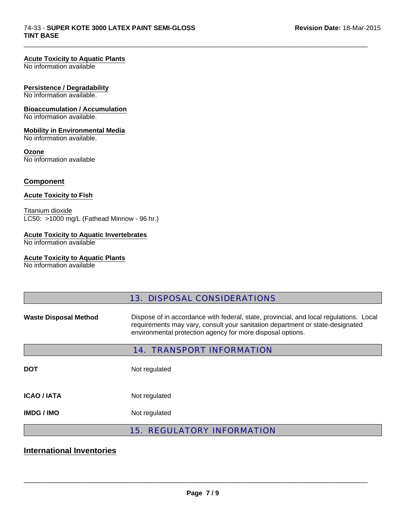### **Acute Toxicity to Aquatic Plants**

No information available

### **Persistence / Degradability**

No information available.

## **Bioaccumulation / Accumulation**

No information available.

### **Mobility in Environmental Media**

No information available.

#### **Ozone**

No information available

### **Component**

#### **Acute Toxicity to Fish**

Titanium dioxide LC50: >1000 mg/L (Fathead Minnow - 96 hr.)

### **Acute Toxicity to Aquatic Invertebrates**

No information available

#### **Acute Toxicity to Aquatic Plants**

No information available

|                                  | <b>13. DISPOSAL CONSIDERATIONS</b>                                                                                                                                                                                                    |  |  |
|----------------------------------|---------------------------------------------------------------------------------------------------------------------------------------------------------------------------------------------------------------------------------------|--|--|
| <b>Waste Disposal Method</b>     | Dispose of in accordance with federal, state, provincial, and local regulations. Local<br>requirements may vary, consult your sanitation department or state-designated<br>environmental protection agency for more disposal options. |  |  |
| <b>14. TRANSPORT INFORMATION</b> |                                                                                                                                                                                                                                       |  |  |
| <b>DOT</b>                       | Not regulated                                                                                                                                                                                                                         |  |  |
| <b>ICAO / IATA</b>               | Not regulated                                                                                                                                                                                                                         |  |  |
| <b>IMDG / IMO</b>                | Not regulated                                                                                                                                                                                                                         |  |  |
|                                  | <b>15. REGULATORY INFORMATION</b>                                                                                                                                                                                                     |  |  |

 $\Box$ 

# **International Inventories**

\_\_\_\_\_\_\_\_\_\_\_\_\_\_\_\_\_\_\_\_\_\_\_\_\_\_\_\_\_\_\_\_\_\_\_\_\_\_\_\_\_\_\_\_\_\_\_\_\_\_\_\_\_\_\_\_\_\_\_\_\_\_\_\_\_\_\_\_\_\_\_\_\_\_\_\_\_\_\_\_\_\_\_\_\_\_\_\_\_\_\_\_\_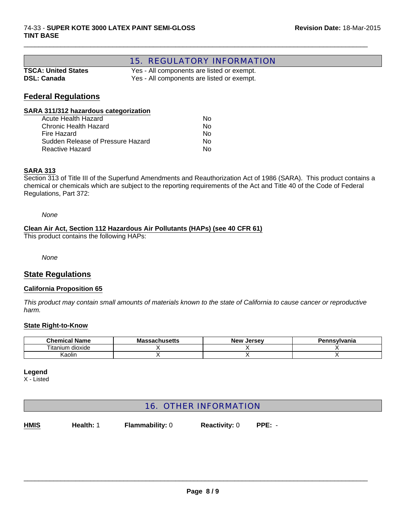# 15. REGULATORY INFORMATION

| <b>TSCA: United States</b> |  |
|----------------------------|--|
| <b>DSL: Canada</b>         |  |

Yes - All components are listed or exempt. Yes - All components are listed or exempt.

 $\Box$ 

# **Federal Regulations**

#### **SARA 311/312 hazardous categorization**

| Acute Health Hazard               | N٥ |
|-----------------------------------|----|
| Chronic Health Hazard             | N٥ |
| Fire Hazard                       | N٥ |
| Sudden Release of Pressure Hazard | N٥ |
| Reactive Hazard                   | N٥ |

#### **SARA 313**

Section 313 of Title III of the Superfund Amendments and Reauthorization Act of 1986 (SARA). This product contains a chemical or chemicals which are subject to the reporting requirements of the Act and Title 40 of the Code of Federal Regulations, Part 372:

*None*

#### **Clean Air Act, Section 112 Hazardous Air Pollutants (HAPs) (see 40 CFR 61)**

This product contains the following HAPs:

*None*

### **State Regulations**

#### **California Proposition 65**

*This product may contain small amounts of materials known to the state of California to cause cancer or reproductive harm.*

#### **State Right-to-Know**

| <b>Chemical Name</b> | ،۱۱catt<br>ма<br>odüliyətlib | <b>New</b><br>. Jersev | <b>nsvlvania</b><br>Pan<br>ен |
|----------------------|------------------------------|------------------------|-------------------------------|
| ⊧ dioxide<br>itanium |                              |                        |                               |
| .≺aolin              |                              |                        |                               |

#### **Legend**

X - Listed

# 16. OTHER INFORMATION

**Health:** 1 **Flammability:** 0 **Reactivity:** 0 **PPE:** - **HMIS**